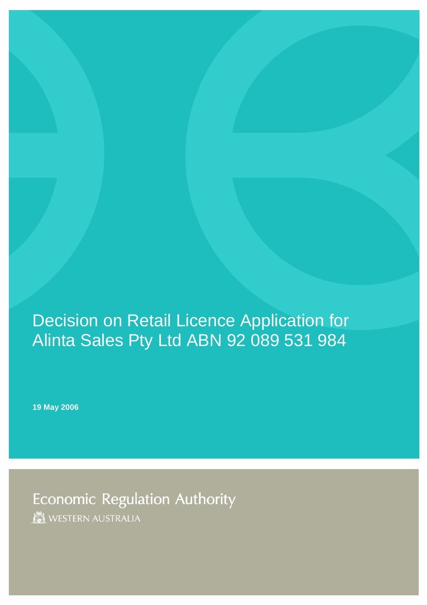## Decision on Retail Licence Application for Alinta Sales Pty Ltd ABN 92 089 531 984

**19 May 2006** 

Economic Regulation Authority **IN WESTERN AUSTRALIA**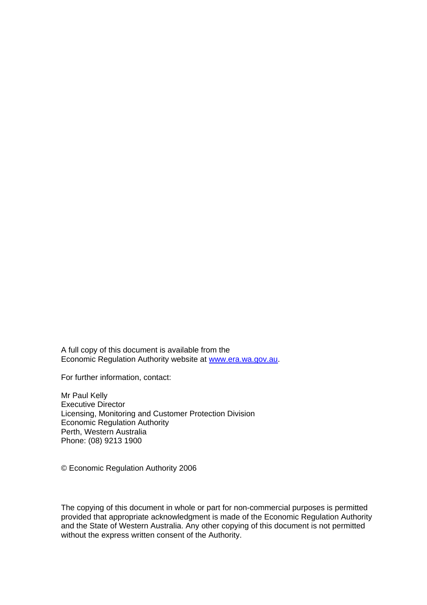A full copy of this document is available from the Economic Regulation Authority website at [www.era.wa.gov.au](http://www.era.wa.gov.au/).

For further information, contact:

Mr Paul Kelly Executive Director Licensing, Monitoring and Customer Protection Division Economic Regulation Authority Perth, Western Australia Phone: (08) 9213 1900

© Economic Regulation Authority 2006

The copying of this document in whole or part for non-commercial purposes is permitted provided that appropriate acknowledgment is made of the Economic Regulation Authority and the State of Western Australia. Any other copying of this document is not permitted without the express written consent of the Authority.